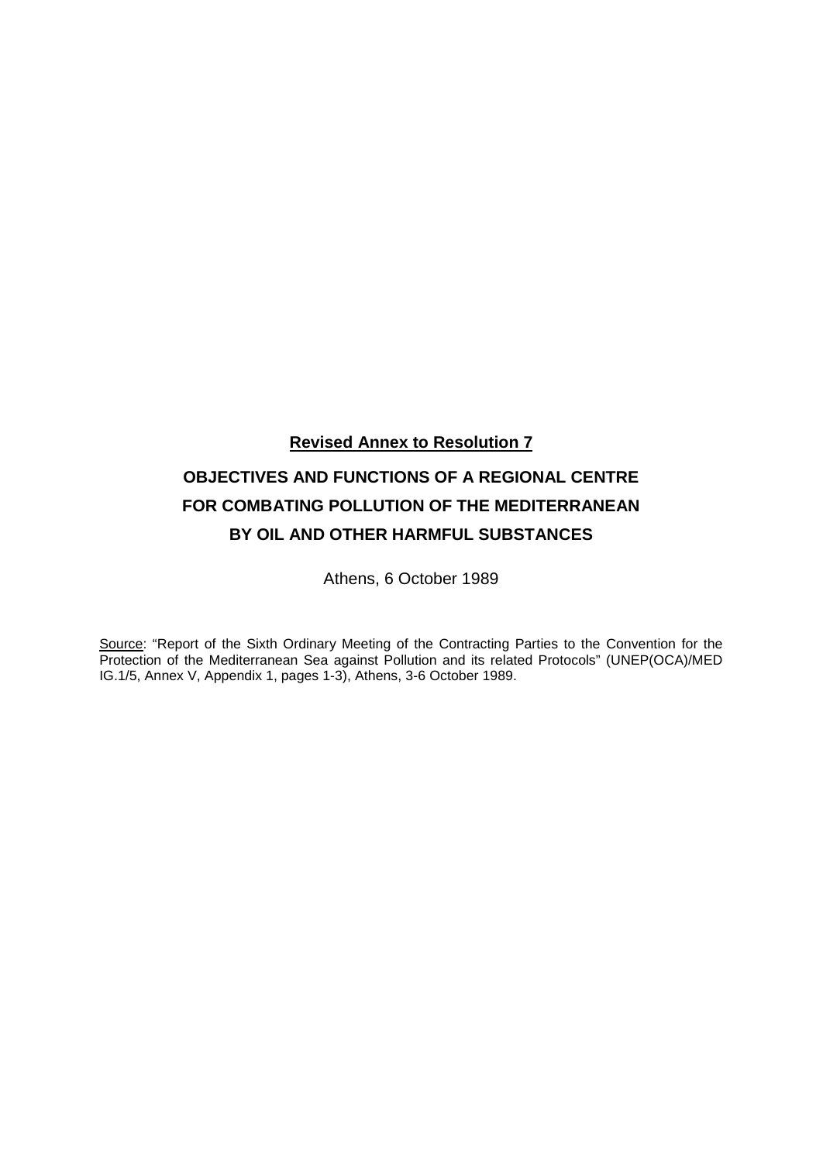**Revised Annex to Resolution 7**

# **OBJECTIVES AND FUNCTIONS OF A REGIONAL CENTRE FOR COMBATING POLLUTION OF THE MEDITERRANEAN BY OIL AND OTHER HARMFUL SUBSTANCES**

Athens, 6 October 1989

Source: "Report of the Sixth Ordinary Meeting of the Contracting Parties to the Convention for the Protection of the Mediterranean Sea against Pollution and its related Protocols" (UNEP(OCA)/MED IG.1/5, Annex V, Appendix 1, pages 1-3), Athens, 3-6 October 1989.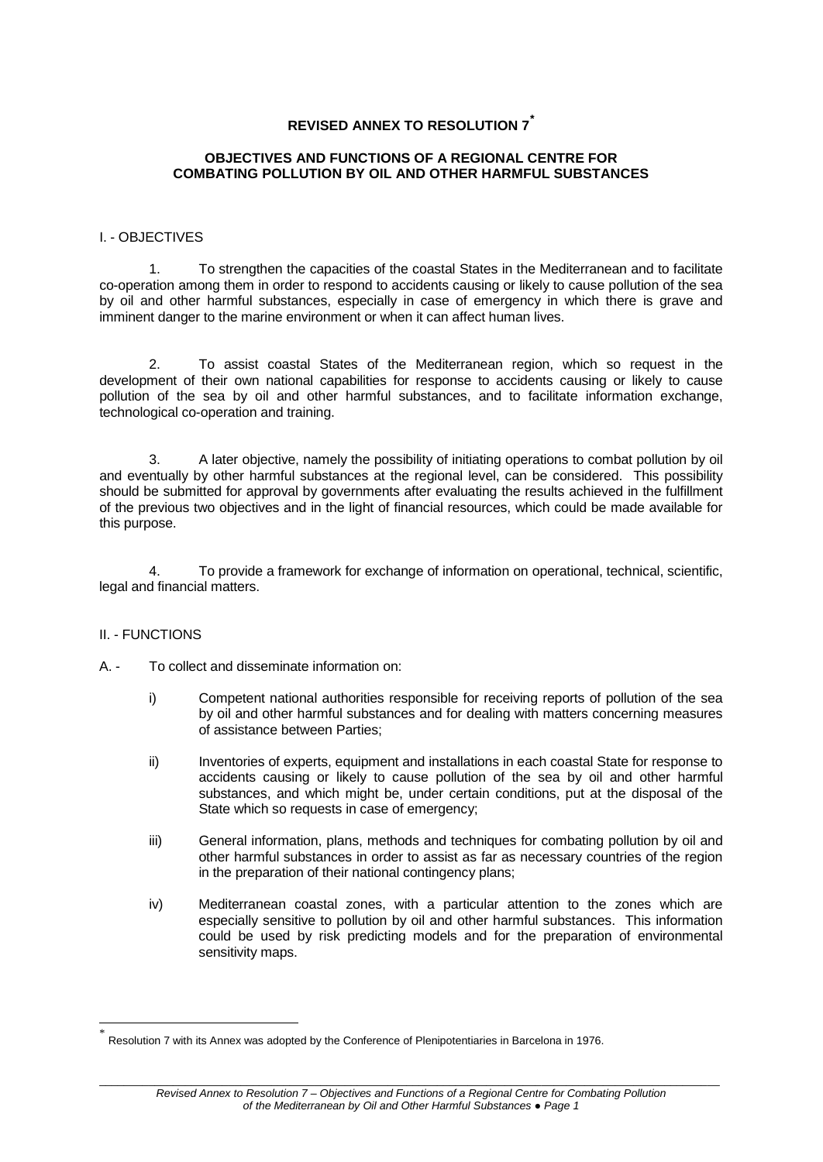## **REVISED ANNEX TO RESOLUTION 7[\\*](#page-2-0)**

## **OBJECTIVES AND FUNCTIONS OF A REGIONAL CENTRE FOR COMBATING POLLUTION BY OIL AND OTHER HARMFUL SUBSTANCES**

### I. - OBJECTIVES

1. To strengthen the capacities of the coastal States in the Mediterranean and to facilitate co-operation among them in order to respond to accidents causing or likely to cause pollution of the sea by oil and other harmful substances, especially in case of emergency in which there is grave and imminent danger to the marine environment or when it can affect human lives.

2. To assist coastal States of the Mediterranean region, which so request in the development of their own national capabilities for response to accidents causing or likely to cause pollution of the sea by oil and other harmful substances, and to facilitate information exchange, technological co-operation and training.

3. A later objective, namely the possibility of initiating operations to combat pollution by oil and eventually by other harmful substances at the regional level, can be considered. This possibility should be submitted for approval by governments after evaluating the results achieved in the fulfillment of the previous two objectives and in the light of financial resources, which could be made available for this purpose.

4. To provide a framework for exchange of information on operational, technical, scientific, legal and financial matters.

#### II. - FUNCTIONS

A. - To collect and disseminate information on:

- i) Competent national authorities responsible for receiving reports of pollution of the sea by oil and other harmful substances and for dealing with matters concerning measures of assistance between Parties;
- ii) Inventories of experts, equipment and installations in each coastal State for response to accidents causing or likely to cause pollution of the sea by oil and other harmful substances, and which might be, under certain conditions, put at the disposal of the State which so requests in case of emergency:
- iii) General information, plans, methods and techniques for combating pollution by oil and other harmful substances in order to assist as far as necessary countries of the region in the preparation of their national contingency plans;
- iv) Mediterranean coastal zones, with a particular attention to the zones which are especially sensitive to pollution by oil and other harmful substances. This information could be used by risk predicting models and for the preparation of environmental sensitivity maps.

<span id="page-2-0"></span> <sup>\*</sup> Resolution 7 with its Annex was adopted by the Conference of Plenipotentiaries in Barcelona in 1976.